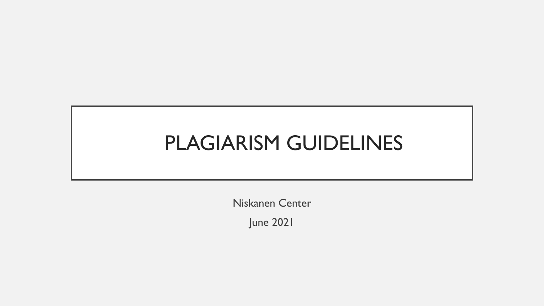## PLAGIARISM GUIDELINES

Niskanen Center

June 2021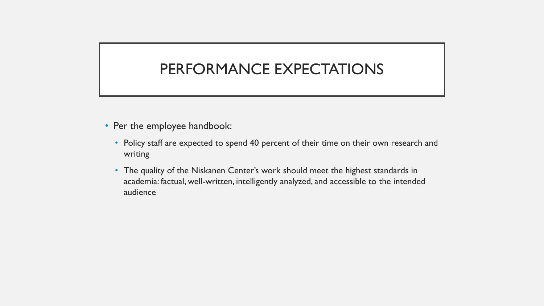### PERFORMANCE EXPECTATIONS

- Per the employee handbook:
	- Policy staff are expected to spend 40 percent of their time on their own research and writing
	- The quality of the Niskanen Center's work should meet the highest standards in academia: factual, well-written, intelligently analyzed, and accessible to the intended audience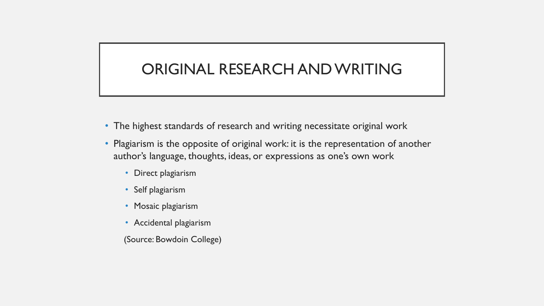### ORIGINAL RESEARCH AND WRITING

- The highest standards of research and writing necessitate original work
- Plagiarism is the opposite of original work: it is the representation of another author's language, thoughts, ideas, or expressions as one's own work
	- Direct plagiarism
	- Self plagiarism
	- Mosaic plagiarism
	- Accidental plagiarism
	- (Source: Bowdoin College)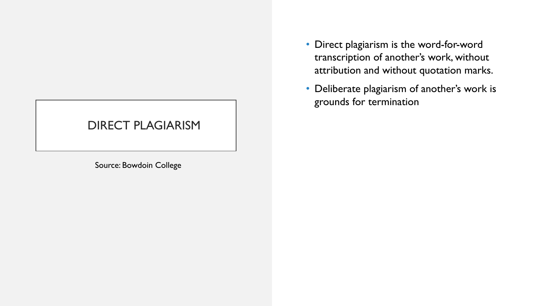#### DIRECT PLAGIARISM

Source: Bowdoin College

- Direct plagiarism is the word-for-word transcription of another's work, without attribution and without quotation marks.
- Deliberate plagiarism of another's work is grounds for termination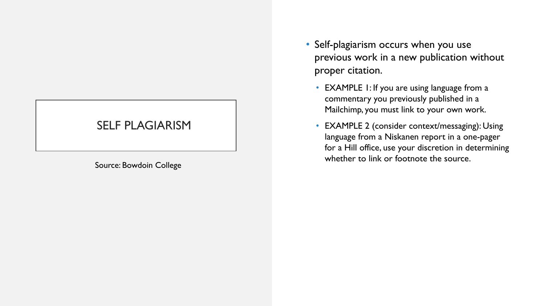#### SELF PLAGIARISM

Source: Bowdoin College

- Self-plagiarism occurs when you use previous work in a new publication without proper citation.
	- EXAMPLE 1: If you are using language from a commentary you previously published in a Mailchimp, you must link to your own work.
	- EXAMPLE 2 (consider context/messaging): Using language from a Niskanen report in a one-pager for a Hill office, use your discretion in determining whether to link or footnote the source.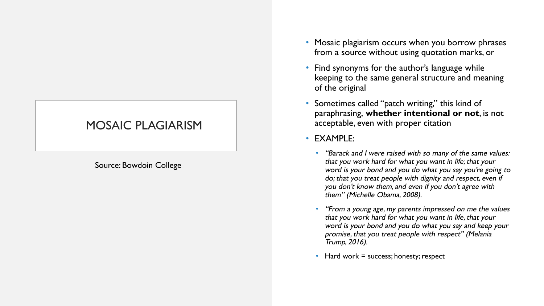#### MOSAIC PLAGIARISM

Source: Bowdoin College

- Mosaic plagiarism occurs when you borrow phrases from a source without using quotation marks, or
- Find synonyms for the author's language while keeping to the same general structure and meaning of the original
- Sometimes called "patch writing," this kind of paraphrasing, **whether intentional or not**, is not acceptable, even with proper citation
- EXAMPLE:
	- *•* "Barack and I were raised with so many of the same values: that you work hard for what you want in life; that your word is your bond and you do what you say you're going to do; that you treat people with dignity and respect, even if you don't know them, and even if you don't agree with them" (Michelle Obama, 2008).
	- *•* "From a young age, my parents impressed on me the values that you work hard for what you want in life, that your word is your bond and you do what you say and keep your promise, that you treat people with respect" (Melania Trump, 2016).
	- Hard work  $=$  success; honesty; respect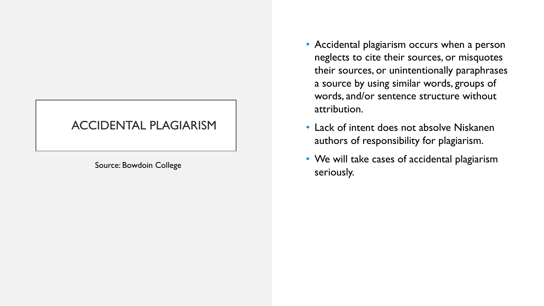#### ACCIDENTAL PLAGIARISM

- Accidental plagiarism occurs when a person neglects to cite their sources, or misquotes their sources, or unintentionally paraphrases a source by using similar words, groups of words, and/or sentence structure without attribution.
- Lack of intent does not absolve Niskanen authors of responsibility for plagiarism.
- We will take cases of accidental plagiarism Source: Bowdoin College<br>
Source: Sowdoin College<br>
Seriously.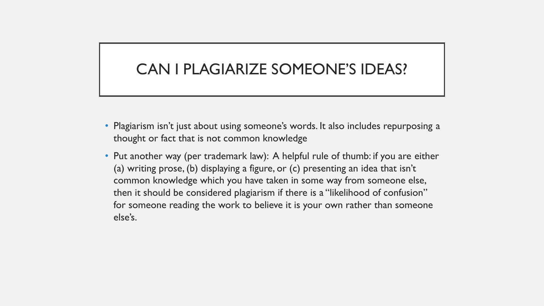### CAN I PLAGIARIZE SOMEONE'S IDEAS?

- Plagiarism isn't just about using someone's words. It also includes repurposing a thought or fact that is not common knowledge
- Put another way (per trademark law): A helpful rule of thumb: if you are either (a) writing prose, (b) displaying a figure, or (c) presenting an idea that isn't common knowledge which you have taken in some way from someone else, then it should be considered plagiarism if there is a "likelihood of confusion" for someone reading the work to believe it is your own rather than someone else's.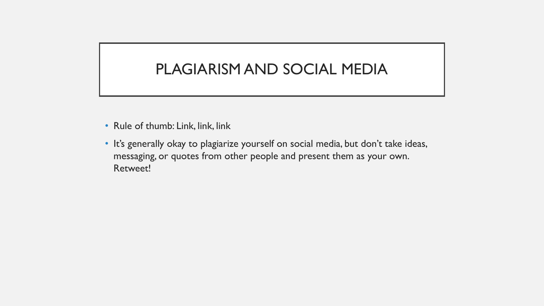### PLAGIARISM AND SOCIAL MEDIA

- Rule of thumb: Link, link, link
- It's generally okay to plagiarize yourself on social media, but don't take ideas, messaging, or quotes from other people and present them as your own. Retweet!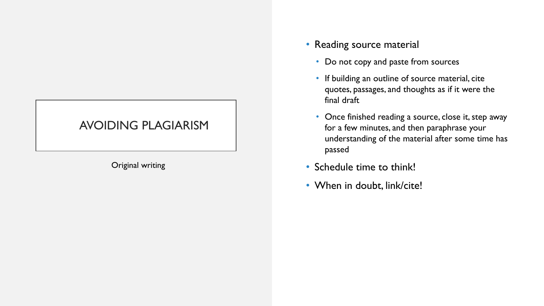#### AVOIDING PLAGIARISM

Original writing

- Reading source material
	- Do not copy and paste from sources
	- If building an outline of source material, cite quotes, passages, and thoughts as if it were the final draft
	- Once finished reading a source, close it, step away for a few minutes, and then paraphrase your understanding of the material after some time has passed
- Schedule time to think!
- When in doubt, link/cite!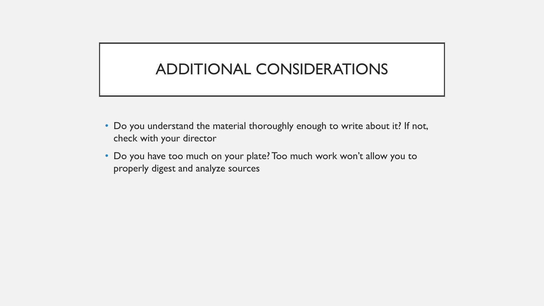### ADDITIONAL CONSIDERATIONS

- Do you understand the material thoroughly enough to write about it? If not, check with your director
- Do you have too much on your plate? Too much work won't allow you to properly digest and analyze sources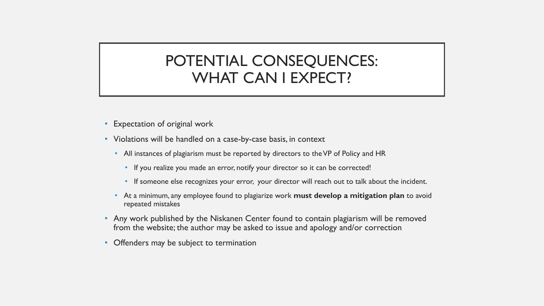#### POTENTIAL CONSEQUENCES: WHAT CAN I EXPECT?

- Expectation of original work
- Violations will be handled on a case-by-case basis, in context
	- All instances of plagiarism must be reported by directors to the VP of Policy and HR
		- If you realize you made an error, notify your director so it can be corrected!
		- If someone else recognizes your error, your director will reach out to talk about the incident.
	- At a minimum, any employee found to plagiarize work **must develop a mitigation plan** to avoid repeated mistakes
- Any work published by the Niskanen Center found to contain plagiarism will be removed from the website; the author may be asked to issue and apology and/or correction
- Offenders may be subject to termination